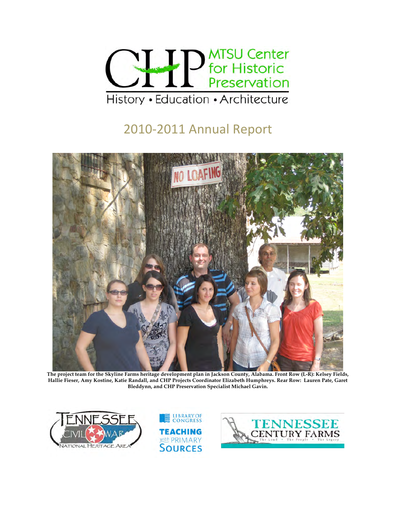

# 2010‐2011
Annual
Report



 **The project team for the Skyline Farms heritage development plan in Jackson County, Alabama. Front Row (L-R): Kelsey Fields, Hallie Fieser, Amy Kostine, Katie Randall, and CHP Projects Coordinator Elizabeth Humphreys. Rear Row: Lauren Pate, Garet Bleddynn, and CHP Preservation Specialist Michael Gavin.** 





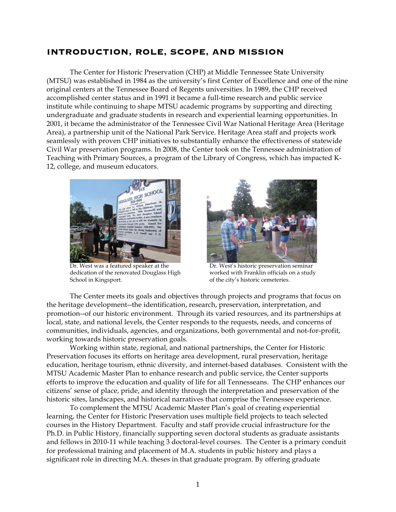## **INTRODUCTION, ROLE, SCOPE, AND MISSION**

The Center for Historic Preservation (CHP) at Middle Tennessee State University (MTSU) was established in 1984 as the university's first Center of Excellence and one of the nine original centers at the Tennessee Board of Regents universities. In 1989, the CHP received accomplished center status and in 1991 it became a full-time research and public service institute while continuing to shape MTSU academic programs by supporting and directing undergraduate and graduate students in research and experiential learning opportunities. In 2001, it became the administrator of the Tennessee Civil War National Heritage Area (Heritage Area), a partnership unit of the National Park Service. Heritage Area staff and projects work seamlessly with proven CHP initiatives to substantially enhance the effectiveness of statewide Civil War preservation programs. In 2008, the Center took on the Tennessee administration of Teaching with Primary Sources, a program of the Library of Congress, which has impacted K-12, college, and museum educators.



Dr. West was a featured speaker at the Dr. West's historic preservation seminar dedication of the renovated Douglass High worked with Franklin officials on a study School in Kingsport.  $\blacksquare$ 



The Center meets its goals and objectives through projects and programs that focus on the heritage development--the identification, research, preservation, interpretation, and promotion--of our historic environment. Through its varied resources, and its partnerships at local, state, and national levels, the Center responds to the requests, needs, and concerns of communities, individuals, agencies, and organizations, both governmental and not-for-profit, working towards historic preservation goals.

Working within state, regional, and national partnerships, the Center for Historic Preservation focuses its efforts on heritage area development, rural preservation, heritage education, heritage tourism, ethnic diversity, and internet-based databases. Consistent with the MTSU Academic Master Plan to enhance research and public service, the Center supports efforts to improve the education and quality of life for all Tennesseans. The CHP enhances our citizens' sense of place, pride, and identity through the interpretation and preservation of the historic sites, landscapes, and historical narratives that comprise the Tennessee experience.

To complement the MTSU Academic Master Plan's goal of creating experiential learning, the Center for Historic Preservation uses multiple field projects to teach selected courses in the History Department. Faculty and staff provide crucial infrastructure for the Ph.D. in Public History, financially supporting seven doctoral students as graduate assistants and fellows in 2010-11 while teaching 3 doctoral-level courses. The Center is a primary conduit for professional training and placement of M.A. students in public history and plays a significant role in directing M.A. theses in that graduate program. By offering graduate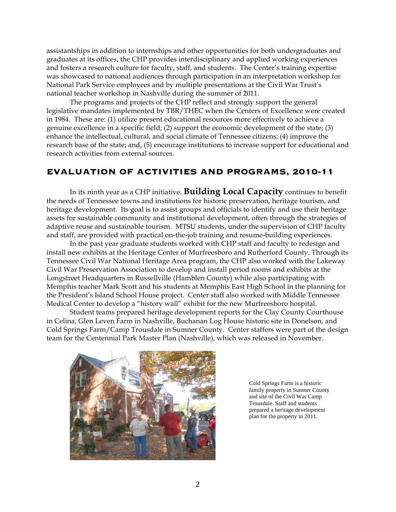assistantships in addition to internships and other opportunities for both undergraduates and graduates at its offices, the CHP provides interdisciplinary and applied working experiences and fosters a research culture for faculty, staff, and students. The Center's training expertise was showcased to national audiences through participation in an interpretation workshop for National Park Service employees and by multiple presentations at the Civil War Trust's national teacher workshop in Nashville during the summer of 2011.

The programs and projects of the CHP reflect and strongly support the general legislative mandates implemented by TBR/THEC when the Centers of Excellence were created in 1984. These are: (1) utilize present educational resources more effectively to achieve a genuine excellence in a specific field; (2) support the economic development of the state; (3) enhance the intellectual, cultural, and social climate of Tennessee citizens; (4) improve the research base of the state; and, (5) encourage institutions to increase support for educational and research activities from external sources.

# **EVALUATION OF ACTIVITIES AND PROGRAMS, 2010-11**

In its ninth year as a CHP initiative, **Building Local Capacity** continues to benefit the needs of Tennessee towns and institutions for historic preservation, heritage tourism, and heritage development. Its goal is to assist groups and officials to identify and use their heritage assets for sustainable community and institutional development, often through the strategies of adaptive reuse and sustainable tourism. MTSU students, under the supervision of CHP faculty and staff, are provided with practical on-the-job training and resume-building experiences.

In the past year graduate students worked with CHP staff and faculty to redesign and install new exhibits at the Heritage Center of Murfreesboro and Rutherford County. Through its Tennessee Civil War National Heritage Area program, the CHP also worked with the Lakeway Civil War Preservation Association to develop and install period rooms and exhibits at the Longstreet Headquarters in Russellville (Hamblen County) while also participating with Memphis teacher Mark Scott and his students at Memphis East High School in the planning for the President's Island School House project. Center staff also worked with Middle Tennessee Medical Center to develop a "history wall" exhibit for the new Murfreesboro hospital.

Student teams prepared heritage development reports for the Clay County Courthouse in Celina, Glen Leven Farm in Nashville, Buchanan Log House historic site in Donelson, and Cold Springs Farm/Camp Trousdale in Sumner County. Center staffers were part of the design team for the Centennial Park Master Plan (Nashville), which was released in November.



Cold Springs Farm is a historic family property in Sumner County and site of the Civil War Camp Trousdale. Staff and students prepared a heritage development plan for the property in 2011.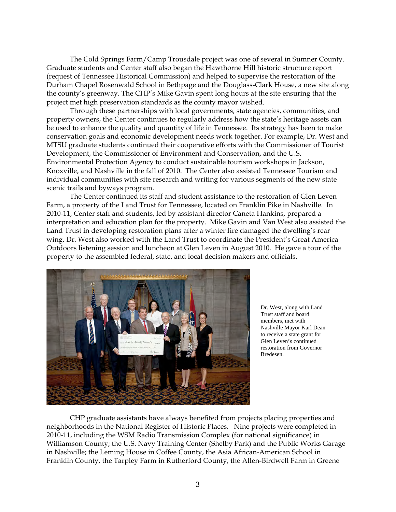The Cold Springs Farm/Camp Trousdale project was one of several in Sumner County. Graduate students and Center staff also began the Hawthorne Hill historic structure report (request of Tennessee Historical Commission) and helped to supervise the restoration of the Durham Chapel Rosenwald School in Bethpage and the Douglass-Clark House, a new site along the county's greenway. The CHP's Mike Gavin spent long hours at the site ensuring that the project met high preservation standards as the county mayor wished.

Through these partnerships with local governments, state agencies, communities, and property owners, the Center continues to regularly address how the state's heritage assets can be used to enhance the quality and quantity of life in Tennessee. Its strategy has been to make conservation goals and economic development needs work together. For example, Dr. West and MTSU graduate students continued their cooperative efforts with the Commissioner of Tourist Development, the Commissioner of Environment and Conservation, and the U.S. Environmental Protection Agency to conduct sustainable tourism workshops in Jackson, Knoxville, and Nashville in the fall of 2010. The Center also assisted Tennessee Tourism and individual communities with site research and writing for various segments of the new state scenic trails and byways program.

The Center continued its staff and student assistance to the restoration of Glen Leven Farm, a property of the Land Trust for Tennessee, located on Franklin Pike in Nashville. In 2010-11, Center staff and students, led by assistant director Caneta Hankins, prepared a interpretation and education plan for the property. Mike Gavin and Van West also assisted the Land Trust in developing restoration plans after a winter fire damaged the dwelling's rear wing. Dr. West also worked with the Land Trust to coordinate the President's Great America Outdoors listening session and luncheon at Glen Leven in August 2010. He gave a tour of the property to the assembled federal, state, and local decision makers and officials.



Dr. West, along with Land Trust staff and board members, met with Nashville Mayor Karl Dean to receive a state grant for Glen Leven's continued restoration from Governor Bredesen.

CHP graduate assistants have always benefited from projects placing properties and neighborhoods in the National Register of Historic Places. Nine projects were completed in 2010-11, including the WSM Radio Transmission Complex (for national significance) in Williamson County; the U.S. Navy Training Center (Shelby Park) and the Public Works Garage in Nashville; the Leming House in Coffee County, the Asia African-American School in Franklin County, the Tarpley Farm in Rutherford County, the Allen-Birdwell Farm in Greene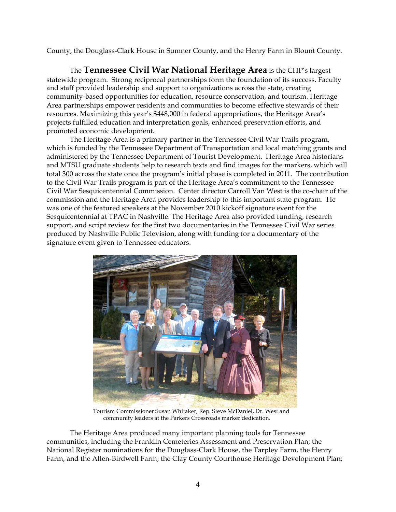County, the Douglass-Clark House in Sumner County, and the Henry Farm in Blount County.

The **Tennessee Civil War National Heritage Area** is the CHP's largest statewide program. Strong reciprocal partnerships form the foundation of its success. Faculty and staff provided leadership and support to organizations across the state, creating community-based opportunities for education, resource conservation, and tourism. Heritage Area partnerships empower residents and communities to become effective stewards of their resources. Maximizing this year's \$448,000 in federal appropriations, the Heritage Area's projects fulfilled education and interpretation goals, enhanced preservation efforts, and promoted economic development.

The Heritage Area is a primary partner in the Tennessee Civil War Trails program, which is funded by the Tennessee Department of Transportation and local matching grants and administered by the Tennessee Department of Tourist Development. Heritage Area historians and MTSU graduate students help to research texts and find images for the markers, which will total 300 across the state once the program's initial phase is completed in 2011. The contribution to the Civil War Trails program is part of the Heritage Area's commitment to the Tennessee Civil War Sesquicentennial Commission. Center director Carroll Van West is the co-chair of the commission and the Heritage Area provides leadership to this important state program. He was one of the featured speakers at the November 2010 kickoff signature event for the Sesquicentennial at TPAC in Nashville. The Heritage Area also provided funding, research support, and script review for the first two documentaries in the Tennessee Civil War series produced by Nashville Public Television, along with funding for a documentary of the signature event given to Tennessee educators.



Tourism Commissioner Susan Whitaker, Rep. Steve McDaniel, Dr. West and community leaders at the Parkers Crossroads marker dedication.

The Heritage Area produced many important planning tools for Tennessee communities, including the Franklin Cemeteries Assessment and Preservation Plan; the National Register nominations for the Douglass-Clark House, the Tarpley Farm, the Henry Farm, and the Allen-Birdwell Farm; the Clay County Courthouse Heritage Development Plan;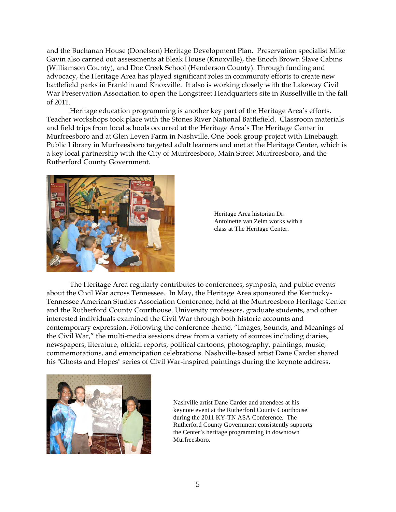and the Buchanan House (Donelson) Heritage Development Plan. Preservation specialist Mike Gavin also carried out assessments at Bleak House (Knoxville), the Enoch Brown Slave Cabins (Williamson County), and Doe Creek School (Henderson County). Through funding and advocacy, the Heritage Area has played significant roles in community efforts to create new battlefield parks in Franklin and Knoxville. It also is working closely with the Lakeway Civil War Preservation Association to open the Longstreet Headquarters site in Russellville in the fall of 2011.

Heritage education programming is another key part of the Heritage Area's efforts. Teacher workshops took place with the Stones River National Battlefield. Classroom materials and field trips from local schools occurred at the Heritage Area's The Heritage Center in Murfreesboro and at Glen Leven Farm in Nashville. One book group project with Linebaugh Public Library in Murfreesboro targeted adult learners and met at the Heritage Center, which is a key local partnership with the City of Murfreesboro, Main Street Murfreesboro, and the Rutherford County Government.



Heritage Area historian Dr. Antoinette van Zelm works with a class at The Heritage Center.

The Heritage Area regularly contributes to conferences, symposia, and public events about the Civil War across Tennessee. In May, the Heritage Area sponsored the Kentucky-Tennessee American Studies Association Conference, held at the Murfreesboro Heritage Center and the Rutherford County Courthouse. University professors, graduate students, and other interested individuals examined the Civil War through both historic accounts and contemporary expression. Following the conference theme, "Images, Sounds, and Meanings of the Civil War," the multi-media sessions drew from a variety of sources including diaries, newspapers, literature, official reports, political cartoons, photography, paintings, music, commemorations, and emancipation celebrations. Nashville-based artist Dane Carder shared his "Ghosts and Hopes" series of Civil War-inspired paintings during the keynote address.



Nashville artist Dane Carder and attendees at his keynote event at the Rutherford County Courthouse during the 2011 KY-TN ASA Conference. The Rutherford County Government consistently supports the Center's heritage programming in downtown Murfreesboro.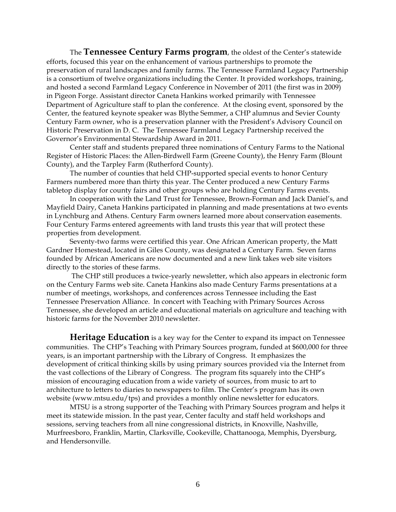The **Tennessee Century Farms program**, the oldest of the Center's statewide efforts, focused this year on the enhancement of various partnerships to promote the preservation of rural landscapes and family farms. The Tennessee Farmland Legacy Partnership is a consortium of twelve organizations including the Center. It provided workshops, training, and hosted a second Farmland Legacy Conference in November of 2011 (the first was in 2009) in Pigeon Forge. Assistant director Caneta Hankins worked primarily with Tennessee Department of Agriculture staff to plan the conference. At the closing event, sponsored by the Center, the featured keynote speaker was Blythe Semmer, a CHP alumnus and Sevier County Century Farm owner, who is a preservation planner with the President's Advisory Council on Historic Preservation in D. C. The Tennessee Farmland Legacy Partnership received the Governor's Environmental Stewardship Award in 2011.

Center staff and students prepared three nominations of Century Farms to the National Register of Historic Places: the Allen-Birdwell Farm (Greene County), the Henry Farm (Blount County), and the Tarpley Farm (Rutherford County).

The number of counties that held CHP-supported special events to honor Century Farmers numbered more than thirty this year. The Center produced a new Century Farms tabletop display for county fairs and other groups who are holding Century Farms events.

In cooperation with the Land Trust for Tennessee, Brown-Forman and Jack Daniel's, and Mayfield Dairy, Caneta Hankins participated in planning and made presentations at two events in Lynchburg and Athens. Century Farm owners learned more about conservation easements. Four Century Farms entered agreements with land trusts this year that will protect these properties from development.

Seventy-two farms were certified this year. One African American property, the Matt Gardner Homestead, located in Giles County, was designated a Century Farm. Seven farms founded by African Americans are now documented and a new link takes web site visitors directly to the stories of these farms.

 The CHP still produces a twice-yearly newsletter, which also appears in electronic form on the Century Farms web site. Caneta Hankins also made Century Farms presentations at a number of meetings, workshops, and conferences across Tennessee including the East Tennessee Preservation Alliance. In concert with Teaching with Primary Sources Across Tennessee, she developed an article and educational materials on agriculture and teaching with historic farms for the November 2010 newsletter.

**Heritage Education** is a key way for the Center to expand its impact on Tennessee communities. The CHP's Teaching with Primary Sources program, funded at \$600,000 for three years, is an important partnership with the Library of Congress. It emphasizes the development of critical thinking skills by using primary sources provided via the Internet from the vast collections of the Library of Congress. The program fits squarely into the CHP's mission of encouraging education from a wide variety of sources, from music to art to architecture to letters to diaries to newspapers to film. The Center's program has its own website (www.mtsu.edu/tps) and provides a monthly online newsletter for educators.

MTSU is a strong supporter of the Teaching with Primary Sources program and helps it meet its statewide mission. In the past year, Center faculty and staff held workshops and sessions, serving teachers from all nine congressional districts, in Knoxville, Nashville, Murfreesboro, Franklin, Martin, Clarksville, Cookeville, Chattanooga, Memphis, Dyersburg, and Hendersonville.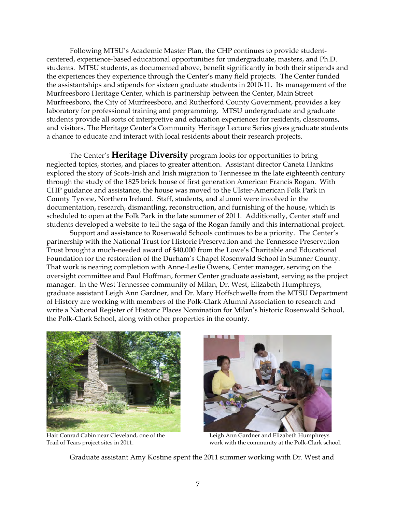Following MTSU's Academic Master Plan, the CHP continues to provide studentcentered, experience-based educational opportunities for undergraduate, masters, and Ph.D. students. MTSU students, as documented above, benefit significantly in both their stipends and the experiences they experience through the Center's many field projects. The Center funded the assistantships and stipends for sixteen graduate students in 2010-11. Its management of the Murfreesboro Heritage Center, which is partnership between the Center, Main Street Murfreesboro, the City of Murfreesboro, and Rutherford County Government, provides a key laboratory for professional training and programming. MTSU undergraduate and graduate students provide all sorts of interpretive and education experiences for residents, classrooms, and visitors. The Heritage Center's Community Heritage Lecture Series gives graduate students a chance to educate and interact with local residents about their research projects.

The Center's **Heritage Diversity** program looks for opportunities to bring neglected topics, stories, and places to greater attention. Assistant director Caneta Hankins explored the story of Scots-Irish and Irish migration to Tennessee in the late eighteenth century through the study of the 1825 brick house of first generation American Francis Rogan. With CHP guidance and assistance, the house was moved to the Ulster-American Folk Park in County Tyrone, Northern Ireland. Staff, students, and alumni were involved in the documentation, research, dismantling, reconstruction, and furnishing of the house, which is scheduled to open at the Folk Park in the late summer of 2011. Additionally, Center staff and students developed a website to tell the saga of the Rogan family and this international project.

Support and assistance to Rosenwald Schools continues to be a priority. The Center's partnership with the National Trust for Historic Preservation and the Tennessee Preservation Trust brought a much-needed award of \$40,000 from the Lowe's Charitable and Educational Foundation for the restoration of the Durham's Chapel Rosenwald School in Sumner County. That work is nearing completion with Anne-Leslie Owens, Center manager, serving on the oversight committee and Paul Hoffman, former Center graduate assistant, serving as the project manager. In the West Tennessee community of Milan, Dr. West, Elizabeth Humphreys, graduate assistant Leigh Ann Gardner, and Dr. Mary Hoffschwelle from the MTSU Department of History are working with members of the Polk-Clark Alumni Association to research and write a National Register of Historic Places Nomination for Milan's historic Rosenwald School, the Polk-Clark School, along with other properties in the county.



Hair Conrad Cabin near Cleveland, one of the Leigh Ann Gardner and Elizabeth Humphreys



Trail of Tears project sites in 2011. work with the community at the Polk-Clark school.

Graduate assistant Amy Kostine spent the 2011 summer working with Dr. West and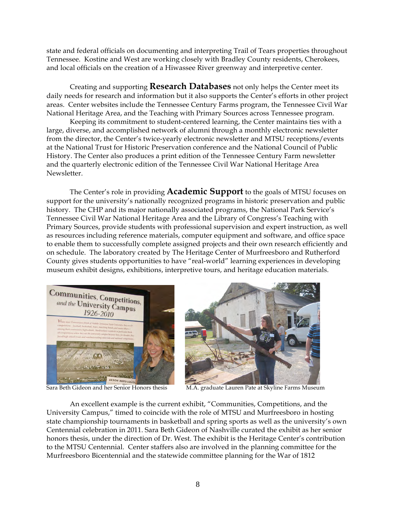state and federal officials on documenting and interpreting Trail of Tears properties throughout Tennessee. Kostine and West are working closely with Bradley County residents, Cherokees, and local officials on the creation of a Hiwassee River greenway and interpretive center.

Creating and supporting **Research Databases** not only helps the Center meet its daily needs for research and information but it also supports the Center's efforts in other project areas. Center websites include the Tennessee Century Farms program, the Tennessee Civil War National Heritage Area, and the Teaching with Primary Sources across Tennessee program.

Keeping its commitment to student-centered learning, the Center maintains ties with a large, diverse, and accomplished network of alumni through a monthly electronic newsletter from the director, the Center's twice-yearly electronic newsletter and MTSU receptions/events at the National Trust for Historic Preservation conference and the National Council of Public History. The Center also produces a print edition of the Tennessee Century Farm newsletter and the quarterly electronic edition of the Tennessee Civil War National Heritage Area Newsletter.

The Center's role in providing **Academic Support** to the goals of MTSU focuses on support for the university's nationally recognized programs in historic preservation and public history. The CHP and its major nationally associated programs, the National Park Service's Tennessee Civil War National Heritage Area and the Library of Congress's Teaching with Primary Sources, provide students with professional supervision and expert instruction, as well as resources including reference materials, computer equipment and software, and office space to enable them to successfully complete assigned projects and their own research efficiently and on schedule. The laboratory created by The Heritage Center of Murfreesboro and Rutherford County gives students opportunities to have "real-world" learning experiences in developing museum exhibit designs, exhibitions, interpretive tours, and heritage education materials.





An excellent example is the current exhibit, "Communities, Competitions, and the University Campus," timed to coincide with the role of MTSU and Murfreesboro in hosting state championship tournaments in basketball and spring sports as well as the university's own Centennial celebration in 2011. Sara Beth Gideon of Nashville curated the exhibit as her senior honors thesis, under the direction of Dr. West. The exhibit is the Heritage Center's contribution to the MTSU Centennial. Center staffers also are involved in the planning committee for the Murfreesboro Bicentennial and the statewide committee planning for the War of 1812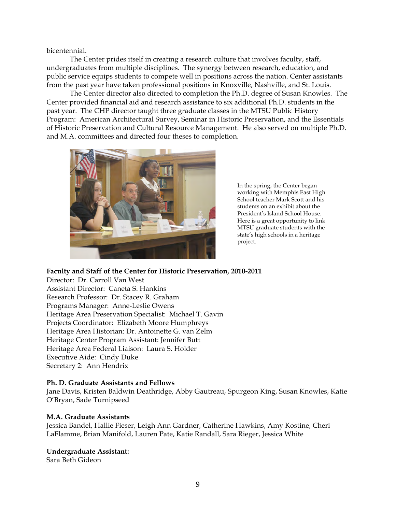bicentennial.

The Center prides itself in creating a research culture that involves faculty, staff, undergraduates from multiple disciplines. The synergy between research, education, and public service equips students to compete well in positions across the nation. Center assistants from the past year have taken professional positions in Knoxville, Nashville, and St. Louis.

The Center director also directed to completion the Ph.D. degree of Susan Knowles. The Center provided financial aid and research assistance to six additional Ph.D. students in the past year. The CHP director taught three graduate classes in the MTSU Public History Program: American Architectural Survey, Seminar in Historic Preservation, and the Essentials of Historic Preservation and Cultural Resource Management. He also served on multiple Ph.D. and M.A. committees and directed four theses to completion.



In the spring, the Center began working with Memphis East High School teacher Mark Scott and his students on an exhibit about the President's Island School House. Here is a great opportunity to link MTSU graduate students with the state's high schools in a heritage project.

#### **Faculty and Staff of the Center for Historic Preservation, 2010-2011**

Director: Dr. Carroll Van West Assistant Director: Caneta S. Hankins Research Professor: Dr. Stacey R. Graham Programs Manager: Anne-Leslie Owens Heritage Area Preservation Specialist: Michael T. Gavin Projects Coordinator: Elizabeth Moore Humphreys Heritage Area Historian: Dr. Antoinette G. van Zelm Heritage Center Program Assistant: Jennifer Butt Heritage Area Federal Liaison: Laura S. Holder Executive Aide: Cindy Duke Secretary 2: Ann Hendrix

#### **Ph. D. Graduate Assistants and Fellows**

Jane Davis, Kristen Baldwin Deathridge, Abby Gautreau, Spurgeon King, Susan Knowles, Katie O'Bryan, Sade Turnipseed

#### **M.A. Graduate Assistants**

Jessica Bandel, Hallie Fieser, Leigh Ann Gardner, Catherine Hawkins, Amy Kostine, Cheri LaFlamme, Brian Manifold, Lauren Pate, Katie Randall, Sara Rieger, Jessica White

#### **Undergraduate Assistant:**

Sara Beth Gideon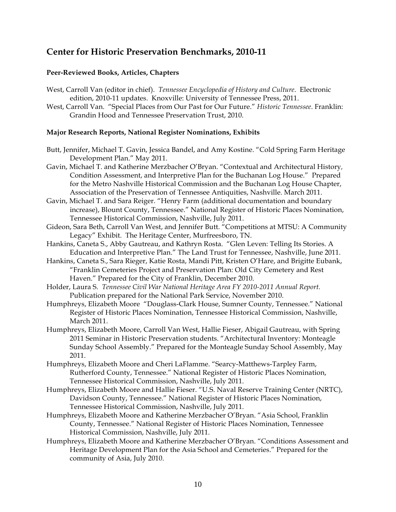# **Center for Historic Preservation Benchmarks, 2010-11**

## **Peer-Reviewed Books, Articles, Chapters**

- West, Carroll Van (editor in chief). *Tennessee Encyclopedia of History and Culture*. Electronic edition, 2010-11 updates. Knoxville: University of Tennessee Press, 2011.
- West, Carroll Van. "Special Places from Our Past for Our Future." *Historic Tennessee*. Franklin: Grandin Hood and Tennessee Preservation Trust, 2010.

#### **Major Research Reports, National Register Nominations, Exhibits**

- Butt, Jennifer, Michael T. Gavin, Jessica Bandel, and Amy Kostine. "Cold Spring Farm Heritage Development Plan." May 2011.
- Gavin, Michael T. and Katherine Merzbacher O'Bryan. "Contextual and Architectural History*,*  Condition Assessment, and Interpretive Plan for the Buchanan Log House." Prepared for the Metro Nashville Historical Commission and the Buchanan Log House Chapter, Association of the Preservation of Tennessee Antiquities, Nashville. March 2011.
- Gavin, Michael T. and Sara Reiger. "Henry Farm (additional documentation and boundary increase), Blount County, Tennessee." National Register of Historic Places Nomination, Tennessee Historical Commission, Nashville, July 2011.
- Gideon, Sara Beth, Carroll Van West, and Jennifer Butt. "Competitions at MTSU: A Community Legacy" Exhibit. The Heritage Center, Murfreesboro, TN.
- Hankins, Caneta S., Abby Gautreau, and Kathryn Rosta. "Glen Leven: Telling Its Stories. A Education and Interpretive Plan." The Land Trust for Tennessee, Nashville, June 2011.
- Hankins, Caneta S., Sara Rieger, Katie Rosta, Mandi Pitt, Kristen O'Hare, and Brigitte Eubank, "Franklin Cemeteries Project and Preservation Plan: Old City Cemetery and Rest Haven." Prepared for the City of Franklin, December 2010.
- Holder, Laura S. *Tennessee Civil War National Heritage Area FY 2010-2011 Annual Report.*  Publication prepared for the National Park Service, November 2010.
- Humphreys, Elizabeth Moore "Douglass-Clark House, Sumner County, Tennessee." National Register of Historic Places Nomination, Tennessee Historical Commission, Nashville, March 2011.
- Humphreys, Elizabeth Moore, Carroll Van West, Hallie Fieser, Abigail Gautreau, with Spring 2011 Seminar in Historic Preservation students. "Architectural Inventory: Monteagle Sunday School Assembly." Prepared for the Monteagle Sunday School Assembly, May 2011.
- Humphreys, Elizabeth Moore and Cheri LaFlamme. "Searcy-Matthews-Tarpley Farm, Rutherford County, Tennessee." National Register of Historic Places Nomination, Tennessee Historical Commission, Nashville, July 2011.
- Humphreys, Elizabeth Moore and Hallie Fieser. "U.S. Naval Reserve Training Center (NRTC), Davidson County, Tennessee." National Register of Historic Places Nomination, Tennessee Historical Commission, Nashville, July 2011.
- Humphreys, Elizabeth Moore and Katherine Merzbacher O'Bryan. "Asia School, Franklin County, Tennessee." National Register of Historic Places Nomination, Tennessee Historical Commission, Nashville, July 2011.
- Humphreys, Elizabeth Moore and Katherine Merzbacher O'Bryan. "Conditions Assessment and Heritage Development Plan for the Asia School and Cemeteries." Prepared for the community of Asia, July 2010.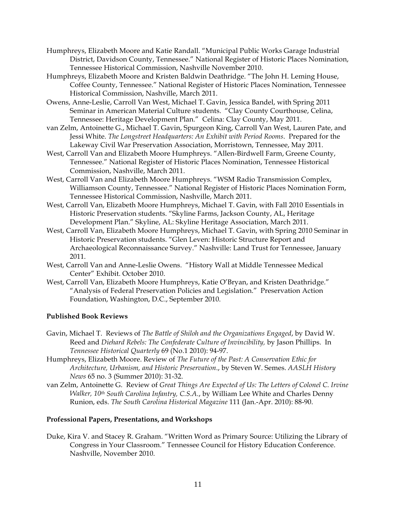- Humphreys, Elizabeth Moore and Katie Randall. "Municipal Public Works Garage Industrial District, Davidson County, Tennessee." National Register of Historic Places Nomination, Tennessee Historical Commission, Nashville November 2010.
- Humphreys, Elizabeth Moore and Kristen Baldwin Deathridge. "The John H. Leming House, Coffee County, Tennessee." National Register of Historic Places Nomination, Tennessee Historical Commission, Nashville, March 2011.
- Owens, Anne-Leslie, Carroll Van West, Michael T. Gavin, Jessica Bandel, with Spring 2011 Seminar in American Material Culture students. "Clay County Courthouse, Celina, Tennessee: Heritage Development Plan." Celina: Clay County, May 2011.
- van Zelm, Antoinette G., Michael T. Gavin, Spurgeon King, Carroll Van West, Lauren Pate, and Jessi White. *The Longstreet Headquarters: An Exhibit with Period Rooms*. Prepared for the Lakeway Civil War Preservation Association, Morristown, Tennessee, May 2011.
- West, Carroll Van and Elizabeth Moore Humphreys. "Allen-Birdwell Farm, Greene County, Tennessee." National Register of Historic Places Nomination, Tennessee Historical Commission, Nashville, March 2011.
- West, Carroll Van and Elizabeth Moore Humphreys. "WSM Radio Transmission Complex, Williamson County, Tennessee." National Register of Historic Places Nomination Form, Tennessee Historical Commission, Nashville, March 2011.
- West, Carroll Van, Elizabeth Moore Humphreys, Michael T. Gavin, with Fall 2010 Essentials in Historic Preservation students. "Skyline Farms, Jackson County, AL, Heritage Development Plan." Skyline, AL: Skyline Heritage Association, March 2011.
- West, Carroll Van, Elizabeth Moore Humphreys, Michael T. Gavin, with Spring 2010 Seminar in Historic Preservation students. "Glen Leven: Historic Structure Report and Archaeological Reconnaissance Survey." Nashville: Land Trust for Tennessee, January 2011.
- West, Carroll Van and Anne-Leslie Owens. "History Wall at Middle Tennessee Medical Center" Exhibit. October 2010.
- West, Carroll Van, Elizabeth Moore Humphreys, Katie O'Bryan, and Kristen Deathridge." "Analysis of Federal Preservation Policies and Legislation." Preservation Action Foundation, Washington, D.C., September 2010.

## **Published Book Reviews**

- Gavin, Michael T. Reviews of *The Battle of Shiloh and the Organizations Engaged*, by David W. Reed and *Diehard Rebels: The Confederate Culture of Invincibility,* by Jason Phillips. In *Tennessee Historical Quarterly* 69 (No.1 2010): 94-97.
- Humphreys, Elizabeth Moore. Review of *The Future of the Past: A Conservation Ethic for Architecture, Urbanism, and Historic Preservation*., by Steven W. Semes. *AASLH History News* 65 no. 3 (Summer 2010): 31-32.
- van Zelm, Antoinette G. Review of *Great Things Are Expected of Us: The Letters of Colonel C. Irvine Walker, 10th South Carolina Infantry, C.S.A.*, by William Lee White and Charles Denny Runion, eds. *The South Carolina Historical Magazine* 111 (Jan.-Apr. 2010): 88-90.

## **Professional Papers, Presentations, and Workshops**

Duke, Kira V. and Stacey R. Graham. "Written Word as Primary Source: Utilizing the Library of Congress in Your Classroom." Tennessee Council for History Education Conference. Nashville, November 2010.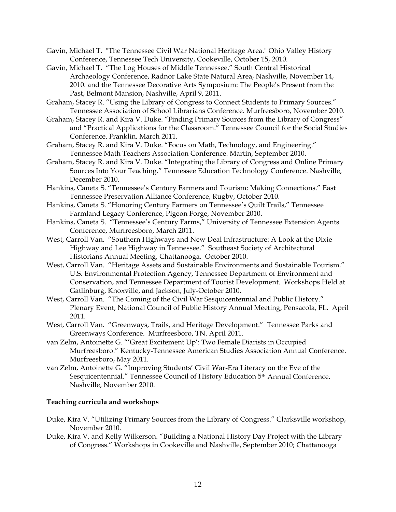- Gavin, Michael T. "The Tennessee Civil War National Heritage Area." Ohio Valley History Conference, Tennessee Tech University, Cookeville, October 15, 2010.
- Gavin, Michael T. "The Log Houses of Middle Tennessee." South Central Historical Archaeology Conference, Radnor Lake State Natural Area, Nashville, November 14, 2010. and the Tennessee Decorative Arts Symposium: The People's Present from the Past, Belmont Mansion, Nashville, April 9, 2011.
- Graham, Stacey R. "Using the Library of Congress to Connect Students to Primary Sources." Tennessee Association of School Librarians Conference. Murfreesboro, November 2010.
- Graham, Stacey R. and Kira V. Duke. "Finding Primary Sources from the Library of Congress" and "Practical Applications for the Classroom." Tennessee Council for the Social Studies Conference. Franklin, March 2011.
- Graham, Stacey R. and Kira V. Duke. "Focus on Math, Technology, and Engineering." Tennessee Math Teachers Association Conference. Martin, September 2010.
- Graham, Stacey R. and Kira V. Duke. "Integrating the Library of Congress and Online Primary Sources Into Your Teaching." Tennessee Education Technology Conference. Nashville, December 2010.
- Hankins, Caneta S. "Tennessee's Century Farmers and Tourism: Making Connections." East Tennessee Preservation Alliance Conference, Rugby, October 2010.
- Hankins, Caneta S. "Honoring Century Farmers on Tennessee's Quilt Trails," Tennessee Farmland Legacy Conference, Pigeon Forge, November 2010.
- Hankins, Caneta S. "Tennessee's Century Farms," University of Tennessee Extension Agents Conference, Murfreesboro, March 2011.
- West, Carroll Van. "Southern Highways and New Deal Infrastructure: A Look at the Dixie Highway and Lee Highway in Tennessee." Southeast Society of Architectural Historians Annual Meeting, Chattanooga. October 2010.
- West, Carroll Van. "Heritage Assets and Sustainable Environments and Sustainable Tourism." U.S. Environmental Protection Agency, Tennessee Department of Environment and Conservation, and Tennessee Department of Tourist Development. Workshops Held at Gatlinburg, Knoxville, and Jackson, July-October 2010.
- West, Carroll Van. "The Coming of the Civil War Sesquicentennial and Public History." Plenary Event, National Council of Public History Annual Meeting, Pensacola, FL. April 2011.
- West, Carroll Van. "Greenways, Trails, and Heritage Development." Tennessee Parks and Greenways Conference. Murfreesboro, TN. April 2011.
- van Zelm, Antoinette G. "'Great Excitement Up': Two Female Diarists in Occupied Murfreesboro." Kentucky-Tennessee American Studies Association Annual Conference. Murfreesboro, May 2011.
- van Zelm, Antoinette G. "Improving Students' Civil War-Era Literacy on the Eve of the Sesquicentennial." Tennessee Council of History Education 5th Annual Conference. Nashville, November 2010.

## **Teaching curricula and workshops**

- Duke, Kira V. "Utilizing Primary Sources from the Library of Congress." Clarksville workshop, November 2010.
- Duke, Kira V. and Kelly Wilkerson. "Building a National History Day Project with the Library of Congress." Workshops in Cookeville and Nashville, September 2010; Chattanooga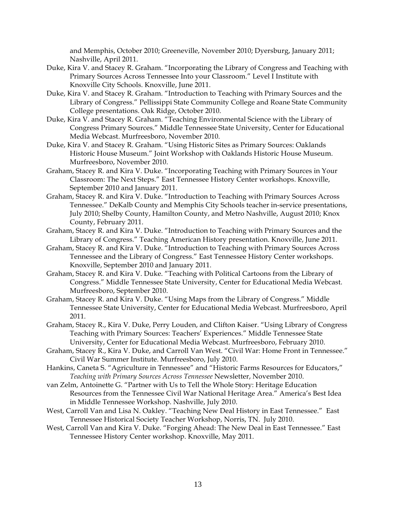and Memphis, October 2010; Greeneville, November 2010; Dyersburg, January 2011; Nashville, April 2011.

- Duke, Kira V. and Stacey R. Graham. "Incorporating the Library of Congress and Teaching with Primary Sources Across Tennessee Into your Classroom." Level I Institute with Knoxville City Schools. Knoxville, June 2011.
- Duke, Kira V. and Stacey R. Graham. "Introduction to Teaching with Primary Sources and the Library of Congress." Pellissippi State Community College and Roane State Community College presentations. Oak Ridge, October 2010.
- Duke, Kira V. and Stacey R. Graham. "Teaching Environmental Science with the Library of Congress Primary Sources." Middle Tennessee State University, Center for Educational Media Webcast. Murfreesboro, November 2010.
- Duke, Kira V. and Stacey R. Graham. "Using Historic Sites as Primary Sources: Oaklands Historic House Museum." Joint Workshop with Oaklands Historic House Museum. Murfreesboro, November 2010.
- Graham, Stacey R. and Kira V. Duke. "Incorporating Teaching with Primary Sources in Your Classroom: The Next Steps." East Tennessee History Center workshops. Knoxville, September 2010 and January 2011.
- Graham, Stacey R. and Kira V. Duke. "Introduction to Teaching with Primary Sources Across Tennessee." DeKalb County and Memphis City Schools teacher in-service presentations, July 2010; Shelby County, Hamilton County, and Metro Nashville, August 2010; Knox County, February 2011.
- Graham, Stacey R. and Kira V. Duke. "Introduction to Teaching with Primary Sources and the Library of Congress." Teaching American History presentation. Knoxville, June 2011.
- Graham, Stacey R. and Kira V. Duke. "Introduction to Teaching with Primary Sources Across Tennessee and the Library of Congress." East Tennessee History Center workshops. Knoxville, September 2010 and January 2011.
- Graham, Stacey R. and Kira V. Duke. "Teaching with Political Cartoons from the Library of Congress." Middle Tennessee State University, Center for Educational Media Webcast. Murfreesboro, September 2010.
- Graham, Stacey R. and Kira V. Duke. "Using Maps from the Library of Congress." Middle Tennessee State University, Center for Educational Media Webcast. Murfreesboro, April 2011.
- Graham, Stacey R., Kira V. Duke, Perry Louden, and Clifton Kaiser. "Using Library of Congress Teaching with Primary Sources: Teachers' Experiences." Middle Tennessee State University, Center for Educational Media Webcast. Murfreesboro, February 2010.
- Graham, Stacey R., Kira V. Duke, and Carroll Van West. "Civil War: Home Front in Tennessee." Civil War Summer Institute. Murfreesboro, July 2010.
- Hankins, Caneta S. "Agriculture in Tennessee" and "Historic Farms Resources for Educators," *Teaching with Primary Sources Across Tennessee* Newsletter, November 2010.
- van Zelm, Antoinette G. "Partner with Us to Tell the Whole Story: Heritage Education Resources from the Tennessee Civil War National Heritage Area." America's Best Idea in Middle Tennessee Workshop. Nashville, July 2010.
- West, Carroll Van and Lisa N. Oakley. "Teaching New Deal History in East Tennessee." East Tennessee Historical Society Teacher Workshop, Norris, TN. July 2010.
- West, Carroll Van and Kira V. Duke. "Forging Ahead: The New Deal in East Tennessee." East Tennessee History Center workshop. Knoxville, May 2011.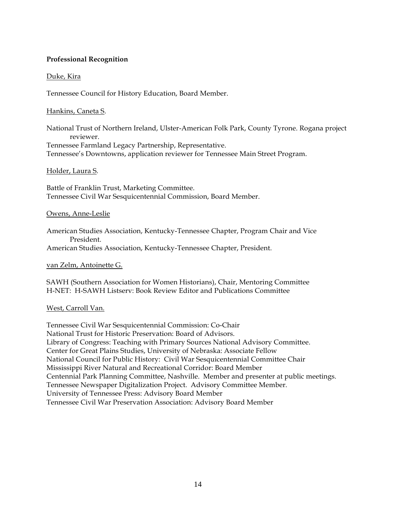## **Professional Recognition**

## Duke, Kira

Tennessee Council for History Education, Board Member.

#### Hankins, Caneta S.

National Trust of Northern Ireland, Ulster-American Folk Park, County Tyrone. Rogana project reviewer. Tennessee Farmland Legacy Partnership, Representative. Tennessee's Downtowns, application reviewer for Tennessee Main Street Program.

#### Holder, Laura S.

Battle of Franklin Trust, Marketing Committee. Tennessee Civil War Sesquicentennial Commission, Board Member.

#### Owens, Anne-Leslie

American Studies Association, Kentucky-Tennessee Chapter, Program Chair and Vice President. American Studies Association, Kentucky-Tennessee Chapter, President.

#### van Zelm, Antoinette G.

SAWH (Southern Association for Women Historians), Chair, Mentoring Committee H-NET: H-SAWH Listserv: Book Review Editor and Publications Committee

## West, Carroll Van.

Tennessee Civil War Sesquicentennial Commission: Co-Chair National Trust for Historic Preservation: Board of Advisors. Library of Congress: Teaching with Primary Sources National Advisory Committee. Center for Great Plains Studies, University of Nebraska: Associate Fellow National Council for Public History: Civil War Sesquicentennial Committee Chair Mississippi River Natural and Recreational Corridor: Board Member Centennial Park Planning Committee, Nashville. Member and presenter at public meetings. Tennessee Newspaper Digitalization Project. Advisory Committee Member. University of Tennessee Press: Advisory Board Member Tennessee Civil War Preservation Association: Advisory Board Member